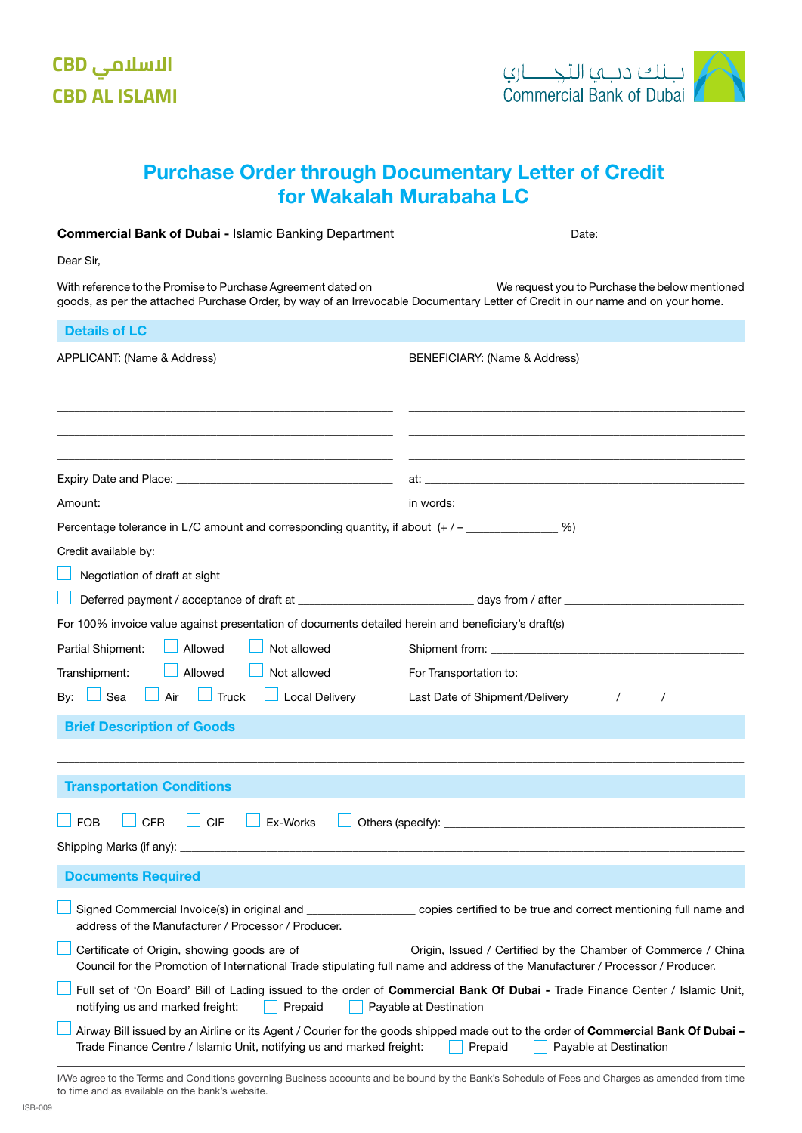

## Purchase Order through Documentary Letter of Credit for Wakalah Murabaha LC

| <b>Commercial Bank of Dubai - Islamic Banking Department</b>                                                                                                                                                                                                       |                                                                                                                                                                        |  |
|--------------------------------------------------------------------------------------------------------------------------------------------------------------------------------------------------------------------------------------------------------------------|------------------------------------------------------------------------------------------------------------------------------------------------------------------------|--|
| Dear Sir,                                                                                                                                                                                                                                                          |                                                                                                                                                                        |  |
| With reference to the Promise to Purchase Agreement dated on _____________________We request you to Purchase the below mentioned<br>goods, as per the attached Purchase Order, by way of an Irrevocable Documentary Letter of Credit in our name and on your home. |                                                                                                                                                                        |  |
| <b>Details of LC</b>                                                                                                                                                                                                                                               |                                                                                                                                                                        |  |
| APPLICANT: (Name & Address)                                                                                                                                                                                                                                        | BENEFICIARY: (Name & Address)                                                                                                                                          |  |
|                                                                                                                                                                                                                                                                    |                                                                                                                                                                        |  |
|                                                                                                                                                                                                                                                                    |                                                                                                                                                                        |  |
|                                                                                                                                                                                                                                                                    |                                                                                                                                                                        |  |
| Percentage tolerance in L/C amount and corresponding quantity, if about $(+/-$                                                                                                                                                                                     |                                                                                                                                                                        |  |
| Credit available by:                                                                                                                                                                                                                                               |                                                                                                                                                                        |  |
| Negotiation of draft at sight                                                                                                                                                                                                                                      |                                                                                                                                                                        |  |
|                                                                                                                                                                                                                                                                    |                                                                                                                                                                        |  |
| For 100% invoice value against presentation of documents detailed herein and beneficiary's draft(s)                                                                                                                                                                |                                                                                                                                                                        |  |
| Allowed<br>Not allowed<br>Partial Shipment:                                                                                                                                                                                                                        |                                                                                                                                                                        |  |
| Allowed<br>Not allowed<br>Transhipment:                                                                                                                                                                                                                            |                                                                                                                                                                        |  |
| Sea $\Box$ Air<br>$\Box$ Truck<br>$\Box$ Local Delivery<br>By: $\lfloor$                                                                                                                                                                                           | Last Date of Shipment/Delivery /<br>$\prime$                                                                                                                           |  |
| <b>Brief Description of Goods</b>                                                                                                                                                                                                                                  |                                                                                                                                                                        |  |
|                                                                                                                                                                                                                                                                    |                                                                                                                                                                        |  |
| <b>Transportation Conditions</b>                                                                                                                                                                                                                                   |                                                                                                                                                                        |  |
| <b>FOB</b><br><b>CFR</b><br><b>CIF</b><br>Ex-Works<br>Others (specify):                                                                                                                                                                                            |                                                                                                                                                                        |  |
| Shipping Marks (if any): ____                                                                                                                                                                                                                                      |                                                                                                                                                                        |  |
| <b>Documents Required</b>                                                                                                                                                                                                                                          |                                                                                                                                                                        |  |
| address of the Manufacturer / Processor / Producer.                                                                                                                                                                                                                | Signed Commercial Invoice(s) in original and _______________________ copies certified to be true and correct mentioning full name and                                  |  |
| Council for the Promotion of International Trade stipulating full name and address of the Manufacturer / Processor / Producer.                                                                                                                                     | Certificate of Origin, showing goods are of __________________ Origin, Issued / Certified by the Chamber of Commerce / China                                           |  |
| Full set of 'On Board' Bill of Lading issued to the order of Commercial Bank Of Dubai - Trade Finance Center / Islamic Unit,<br>notifying us and marked freight:<br>Payable at Destination<br>Prepaid                                                              |                                                                                                                                                                        |  |
| Trade Finance Centre / Islamic Unit, notifying us and marked freight:                                                                                                                                                                                              | Airway Bill issued by an Airline or its Agent / Courier for the goods shipped made out to the order of Commercial Bank Of Dubai -<br>Prepaid<br>Payable at Destination |  |

I/We agree to the Terms and Conditions governing Business accounts and be bound by the Bank's Schedule of Fees and Charges as amended from time to time and as available on the bank's website.